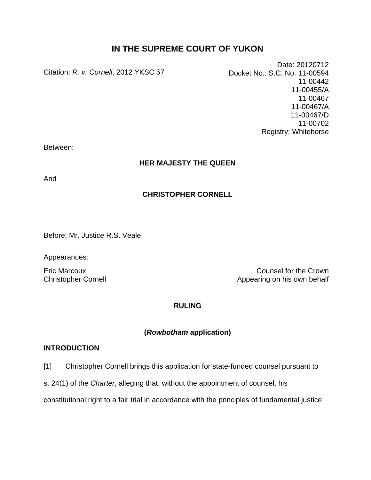## **IN THE SUPREME COURT OF YUKON**

Citation: *R. v. Cornell*, 2012 YKSC 57

Date: 20120712 Docket No.: S.C. No. 11-00594 11-00442 11-00455/A 11-00467 11-00467/A 11-00467/D 11-00702 Registry: Whitehorse

Between:

## **HER MAJESTY THE QUEEN**

And

## **CHRISTOPHER CORNELL**

Before: Mr. Justice R.S. Veale

Appearances:

Eric Marcoux Counsel for the Crown Christopher Cornell **Christopher Cornell** Appearing on his own behalf

## **RULING**

## **(***Rowbotham* **application)**

## **INTRODUCTION**

- [1] Christopher Cornell brings this application for state-funded counsel pursuant to
- s. 24(1) of the *Charter*, alleging that, without the appointment of counsel, his

constitutional right to a fair trial in accordance with the principles of fundamental justice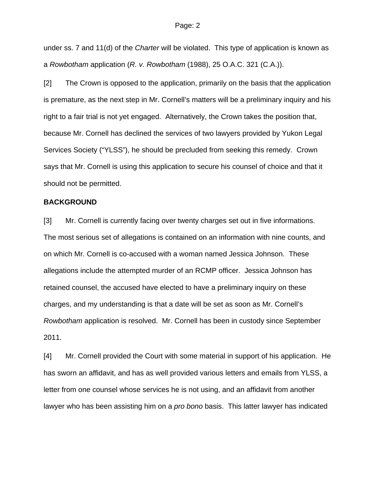under ss. 7 and 11(d) of the *Charter* will be violated. This type of application is known as a *Rowbotham* application (*R. v. Rowbotham* (1988), 25 O.A.C. 321 (C.A.)).

[2] The Crown is opposed to the application, primarily on the basis that the application is premature, as the next step in Mr. Cornell's matters will be a preliminary inquiry and his right to a fair trial is not yet engaged. Alternatively, the Crown takes the position that, because Mr. Cornell has declined the services of two lawyers provided by Yukon Legal Services Society ("YLSS"), he should be precluded from seeking this remedy. Crown says that Mr. Cornell is using this application to secure his counsel of choice and that it should not be permitted.

## **BACKGROUND**

[3] Mr. Cornell is currently facing over twenty charges set out in five informations. The most serious set of allegations is contained on an information with nine counts, and on which Mr. Cornell is co-accused with a woman named Jessica Johnson. These allegations include the attempted murder of an RCMP officer. Jessica Johnson has retained counsel, the accused have elected to have a preliminary inquiry on these charges, and my understanding is that a date will be set as soon as Mr. Cornell's *Rowbotham* application is resolved. Mr. Cornell has been in custody since September 2011.

[4] Mr. Cornell provided the Court with some material in support of his application. He has sworn an affidavit, and has as well provided various letters and emails from YLSS, a letter from one counsel whose services he is not using, and an affidavit from another lawyer who has been assisting him on a *pro bono* basis. This latter lawyer has indicated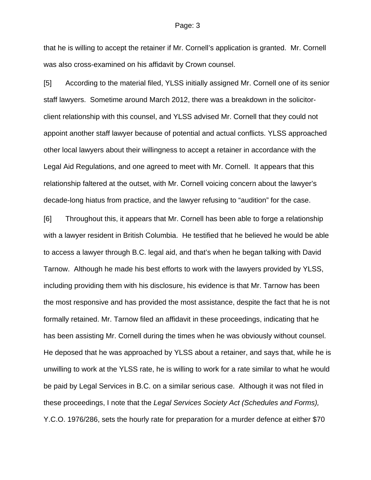that he is willing to accept the retainer if Mr. Cornell's application is granted. Mr. Cornell was also cross-examined on his affidavit by Crown counsel.

[5] According to the material filed, YLSS initially assigned Mr. Cornell one of its senior staff lawyers. Sometime around March 2012, there was a breakdown in the solicitorclient relationship with this counsel, and YLSS advised Mr. Cornell that they could not appoint another staff lawyer because of potential and actual conflicts. YLSS approached other local lawyers about their willingness to accept a retainer in accordance with the Legal Aid Regulations, and one agreed to meet with Mr. Cornell. It appears that this relationship faltered at the outset, with Mr. Cornell voicing concern about the lawyer's decade-long hiatus from practice, and the lawyer refusing to "audition" for the case.

[6] Throughout this, it appears that Mr. Cornell has been able to forge a relationship with a lawyer resident in British Columbia. He testified that he believed he would be able to access a lawyer through B.C. legal aid, and that's when he began talking with David Tarnow. Although he made his best efforts to work with the lawyers provided by YLSS, including providing them with his disclosure, his evidence is that Mr. Tarnow has been the most responsive and has provided the most assistance, despite the fact that he is not formally retained. Mr. Tarnow filed an affidavit in these proceedings, indicating that he has been assisting Mr. Cornell during the times when he was obviously without counsel. He deposed that he was approached by YLSS about a retainer, and says that, while he is unwilling to work at the YLSS rate, he is willing to work for a rate similar to what he would be paid by Legal Services in B.C. on a similar serious case. Although it was not filed in these proceedings, I note that the *Legal Services Society Act (Schedules and Forms),*  Y.C.O. 1976/286, sets the hourly rate for preparation for a murder defence at either \$70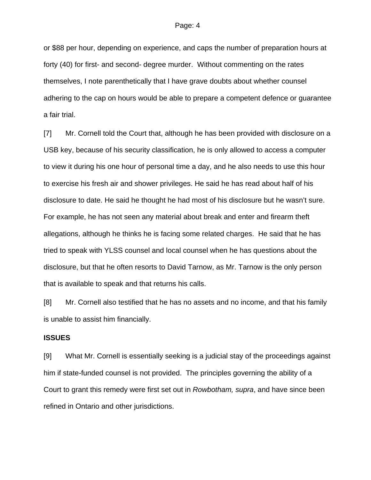or \$88 per hour, depending on experience, and caps the number of preparation hours at forty (40) for first- and second- degree murder. Without commenting on the rates themselves, I note parenthetically that I have grave doubts about whether counsel adhering to the cap on hours would be able to prepare a competent defence or guarantee a fair trial.

[7] Mr. Cornell told the Court that, although he has been provided with disclosure on a USB key, because of his security classification, he is only allowed to access a computer to view it during his one hour of personal time a day, and he also needs to use this hour to exercise his fresh air and shower privileges. He said he has read about half of his disclosure to date. He said he thought he had most of his disclosure but he wasn't sure. For example, he has not seen any material about break and enter and firearm theft allegations, although he thinks he is facing some related charges. He said that he has tried to speak with YLSS counsel and local counsel when he has questions about the disclosure, but that he often resorts to David Tarnow, as Mr. Tarnow is the only person that is available to speak and that returns his calls.

[8] Mr. Cornell also testified that he has no assets and no income, and that his family is unable to assist him financially.

## **ISSUES**

[9] What Mr. Cornell is essentially seeking is a judicial stay of the proceedings against him if state-funded counsel is not provided. The principles governing the ability of a Court to grant this remedy were first set out in *Rowbotham, supra*, and have since been refined in Ontario and other jurisdictions.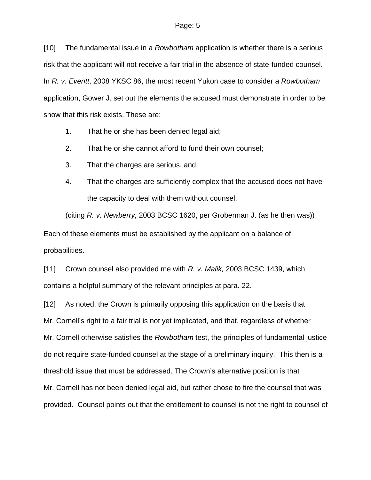[10] The fundamental issue in a *Rowbotham* application is whether there is a serious risk that the applicant will not receive a fair trial in the absence of state-funded counsel. In *R. v. Everitt*, 2008 YKSC 86, the most recent Yukon case to consider a *Rowbotham*  application, Gower J. set out the elements the accused must demonstrate in order to be show that this risk exists. These are:

- 1. That he or she has been denied legal aid;
- 2. That he or she cannot afford to fund their own counsel;
- 3. That the charges are serious, and;
- 4. That the charges are sufficiently complex that the accused does not have the capacity to deal with them without counsel.

(citing *R. v. Newberry,* 2003 BCSC 1620, per Groberman J. (as he then was)) Each of these elements must be established by the applicant on a balance of probabilities.

[11] Crown counsel also provided me with *R. v. Malik,* 2003 BCSC 1439, which contains a helpful summary of the relevant principles at para. 22.

[12] As noted, the Crown is primarily opposing this application on the basis that Mr. Cornell's right to a fair trial is not yet implicated, and that, regardless of whether Mr. Cornell otherwise satisfies the *Rowbotham* test, the principles of fundamental justice do not require state-funded counsel at the stage of a preliminary inquiry. This then is a threshold issue that must be addressed. The Crown's alternative position is that Mr. Cornell has not been denied legal aid, but rather chose to fire the counsel that was provided. Counsel points out that the entitlement to counsel is not the right to counsel of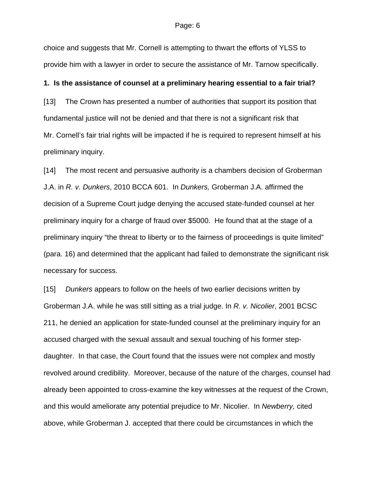choice and suggests that Mr. Cornell is attempting to thwart the efforts of YLSS to provide him with a lawyer in order to secure the assistance of Mr. Tarnow specifically.

## **1. Is the assistance of counsel at a preliminary hearing essential to a fair trial?**

[13] The Crown has presented a number of authorities that support its position that fundamental justice will not be denied and that there is not a significant risk that Mr. Cornell's fair trial rights will be impacted if he is required to represent himself at his preliminary inquiry.

[14] The most recent and persuasive authority is a chambers decision of Groberman J.A. in *R. v. Dunkers*, 2010 BCCA 601. In *Dunkers,* Groberman J.A. affirmed the decision of a Supreme Court judge denying the accused state-funded counsel at her preliminary inquiry for a charge of fraud over \$5000. He found that at the stage of a preliminary inquiry "the threat to liberty or to the fairness of proceedings is quite limited" (para. 16) and determined that the applicant had failed to demonstrate the significant risk necessary for success.

[15] *Dunkers* appears to follow on the heels of two earlier decisions written by Groberman J.A. while he was still sitting as a trial judge. In *R. v. Nicolier*, 2001 BCSC 211, he denied an application for state-funded counsel at the preliminary inquiry for an accused charged with the sexual assault and sexual touching of his former stepdaughter. In that case, the Court found that the issues were not complex and mostly revolved around credibility. Moreover, because of the nature of the charges, counsel had already been appointed to cross-examine the key witnesses at the request of the Crown, and this would ameliorate any potential prejudice to Mr. Nicolier. In *Newberry,* cited above, while Groberman J. accepted that there could be circumstances in which the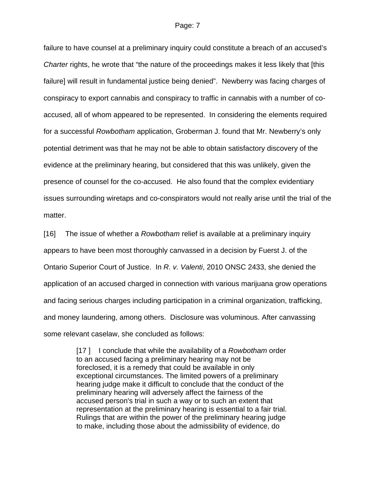failure to have counsel at a preliminary inquiry could constitute a breach of an accused's *Charter* rights, he wrote that "the nature of the proceedings makes it less likely that [this failure] will result in fundamental justice being denied". Newberry was facing charges of conspiracy to export cannabis and conspiracy to traffic in cannabis with a number of coaccused, all of whom appeared to be represented. In considering the elements required for a successful *Rowbotham* application, Groberman J. found that Mr. Newberry's only potential detriment was that he may not be able to obtain satisfactory discovery of the evidence at the preliminary hearing, but considered that this was unlikely, given the presence of counsel for the co-accused. He also found that the complex evidentiary issues surrounding wiretaps and co-conspirators would not really arise until the trial of the matter.

[16] The issue of whether a *Rowbotham* relief is available at a preliminary inquiry appears to have been most thoroughly canvassed in a decision by Fuerst J. of the Ontario Superior Court of Justice. In *R. v. Valenti*, 2010 ONSC 2433, she denied the application of an accused charged in connection with various marijuana grow operations and facing serious charges including participation in a criminal organization, trafficking, and money laundering, among others. Disclosure was voluminous. After canvassing some relevant caselaw, she concluded as follows:

> [17 ] I conclude that while the availability of a *Rowbotham* order to an accused facing a preliminary hearing may not be foreclosed, it is a remedy that could be available in only exceptional circumstances. The limited powers of a preliminary hearing judge make it difficult to conclude that the conduct of the preliminary hearing will adversely affect the fairness of the accused person's trial in such a way or to such an extent that representation at the preliminary hearing is essential to a fair trial. Rulings that are within the power of the preliminary hearing judge to make, including those about the admissibility of evidence, do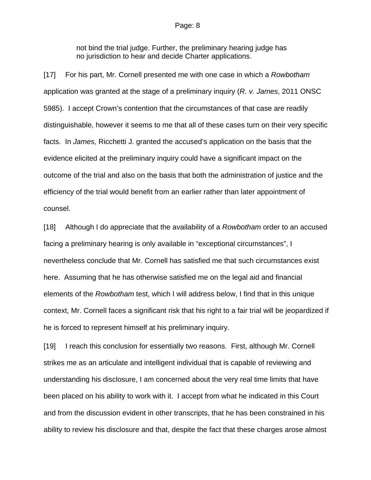not bind the trial judge. Further, the preliminary hearing judge has no jurisdiction to hear and decide Charter applications.

[17] For his part, Mr. Cornell presented me with one case in which a *Rowbotham* application was granted at the stage of a preliminary inquiry (*R. v. James*, 2011 ONSC 5985). I accept Crown's contention that the circumstances of that case are readily distinguishable, however it seems to me that all of these cases turn on their very specific facts. In *James,* Ricchetti J. granted the accused's application on the basis that the evidence elicited at the preliminary inquiry could have a significant impact on the outcome of the trial and also on the basis that both the administration of justice and the efficiency of the trial would benefit from an earlier rather than later appointment of counsel.

[18] Although I do appreciate that the availability of a *Rowbotham* order to an accused facing a preliminary hearing is only available in "exceptional circumstances", I nevertheless conclude that Mr. Cornell has satisfied me that such circumstances exist here. Assuming that he has otherwise satisfied me on the legal aid and financial elements of the *Rowbotham* test, which I will address below, I find that in this unique context, Mr. Cornell faces a significant risk that his right to a fair trial will be jeopardized if he is forced to represent himself at his preliminary inquiry.

[19] I reach this conclusion for essentially two reasons. First, although Mr. Cornell strikes me as an articulate and intelligent individual that is capable of reviewing and understanding his disclosure, I am concerned about the very real time limits that have been placed on his ability to work with it. I accept from what he indicated in this Court and from the discussion evident in other transcripts, that he has been constrained in his ability to review his disclosure and that, despite the fact that these charges arose almost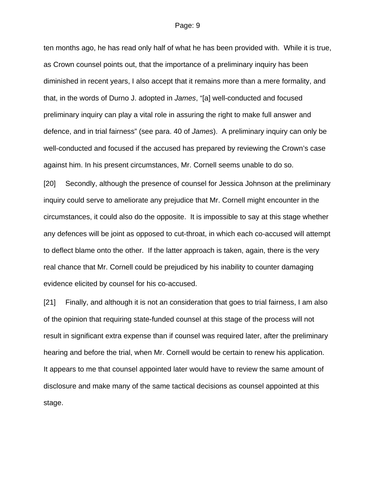ten months ago, he has read only half of what he has been provided with. While it is true, as Crown counsel points out, that the importance of a preliminary inquiry has been diminished in recent years, I also accept that it remains more than a mere formality, and that, in the words of Durno J. adopted in *James*, "[a] well-conducted and focused preliminary inquiry can play a vital role in assuring the right to make full answer and defence, and in trial fairness" (see para. 40 of *James*). A preliminary inquiry can only be well-conducted and focused if the accused has prepared by reviewing the Crown's case against him. In his present circumstances, Mr. Cornell seems unable to do so.

[20] Secondly, although the presence of counsel for Jessica Johnson at the preliminary inquiry could serve to ameliorate any prejudice that Mr. Cornell might encounter in the circumstances, it could also do the opposite. It is impossible to say at this stage whether any defences will be joint as opposed to cut-throat, in which each co-accused will attempt to deflect blame onto the other. If the latter approach is taken, again, there is the very real chance that Mr. Cornell could be prejudiced by his inability to counter damaging evidence elicited by counsel for his co-accused.

[21] Finally, and although it is not an consideration that goes to trial fairness, I am also of the opinion that requiring state-funded counsel at this stage of the process will not result in significant extra expense than if counsel was required later, after the preliminary hearing and before the trial, when Mr. Cornell would be certain to renew his application. It appears to me that counsel appointed later would have to review the same amount of disclosure and make many of the same tactical decisions as counsel appointed at this stage.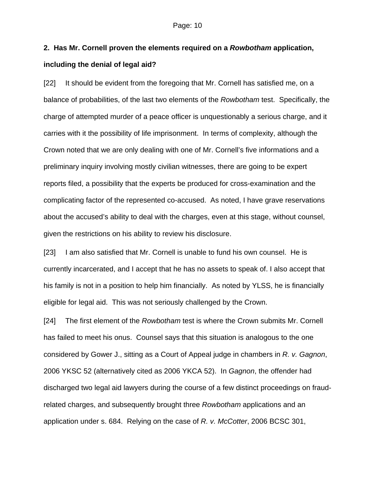# **2. Has Mr. Cornell proven the elements required on a** *Rowbotham* **application, including the denial of legal aid?**

[22] It should be evident from the foregoing that Mr. Cornell has satisfied me, on a balance of probabilities, of the last two elements of the *Rowbotham* test. Specifically, the charge of attempted murder of a peace officer is unquestionably a serious charge, and it carries with it the possibility of life imprisonment. In terms of complexity, although the Crown noted that we are only dealing with one of Mr. Cornell's five informations and a preliminary inquiry involving mostly civilian witnesses, there are going to be expert reports filed, a possibility that the experts be produced for cross-examination and the complicating factor of the represented co-accused. As noted, I have grave reservations about the accused's ability to deal with the charges, even at this stage, without counsel, given the restrictions on his ability to review his disclosure.

[23] I am also satisfied that Mr. Cornell is unable to fund his own counsel. He is currently incarcerated, and I accept that he has no assets to speak of. I also accept that his family is not in a position to help him financially. As noted by YLSS, he is financially eligible for legal aid. This was not seriously challenged by the Crown.

[24] The first element of the *Rowbotham* test is where the Crown submits Mr. Cornell has failed to meet his onus. Counsel says that this situation is analogous to the one considered by Gower J., sitting as a Court of Appeal judge in chambers in *R. v. Gagnon*, 2006 YKSC 52 (alternatively cited as 2006 YKCA 52). In *Gagnon*, the offender had discharged two legal aid lawyers during the course of a few distinct proceedings on fraudrelated charges, and subsequently brought three *Rowbotham* applications and an application under s. 684. Relying on the case of *R. v. McCotter*, 2006 BCSC 301,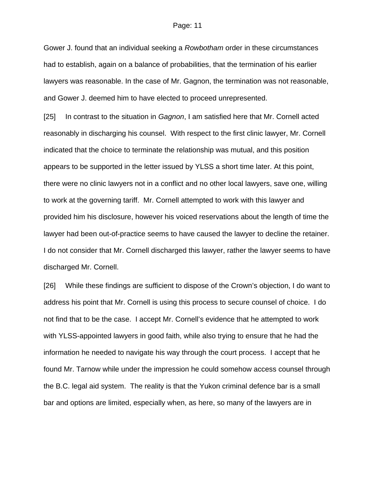Gower J. found that an individual seeking a *Rowbotham* order in these circumstances had to establish, again on a balance of probabilities, that the termination of his earlier lawyers was reasonable. In the case of Mr. Gagnon, the termination was not reasonable, and Gower J. deemed him to have elected to proceed unrepresented.

[25] In contrast to the situation in *Gagnon*, I am satisfied here that Mr. Cornell acted reasonably in discharging his counsel. With respect to the first clinic lawyer, Mr. Cornell indicated that the choice to terminate the relationship was mutual, and this position appears to be supported in the letter issued by YLSS a short time later. At this point, there were no clinic lawyers not in a conflict and no other local lawyers, save one, willing to work at the governing tariff. Mr. Cornell attempted to work with this lawyer and provided him his disclosure, however his voiced reservations about the length of time the lawyer had been out-of-practice seems to have caused the lawyer to decline the retainer. I do not consider that Mr. Cornell discharged this lawyer, rather the lawyer seems to have discharged Mr. Cornell.

[26] While these findings are sufficient to dispose of the Crown's objection, I do want to address his point that Mr. Cornell is using this process to secure counsel of choice. I do not find that to be the case. I accept Mr. Cornell's evidence that he attempted to work with YLSS-appointed lawyers in good faith, while also trying to ensure that he had the information he needed to navigate his way through the court process. I accept that he found Mr. Tarnow while under the impression he could somehow access counsel through the B.C. legal aid system. The reality is that the Yukon criminal defence bar is a small bar and options are limited, especially when, as here, so many of the lawyers are in